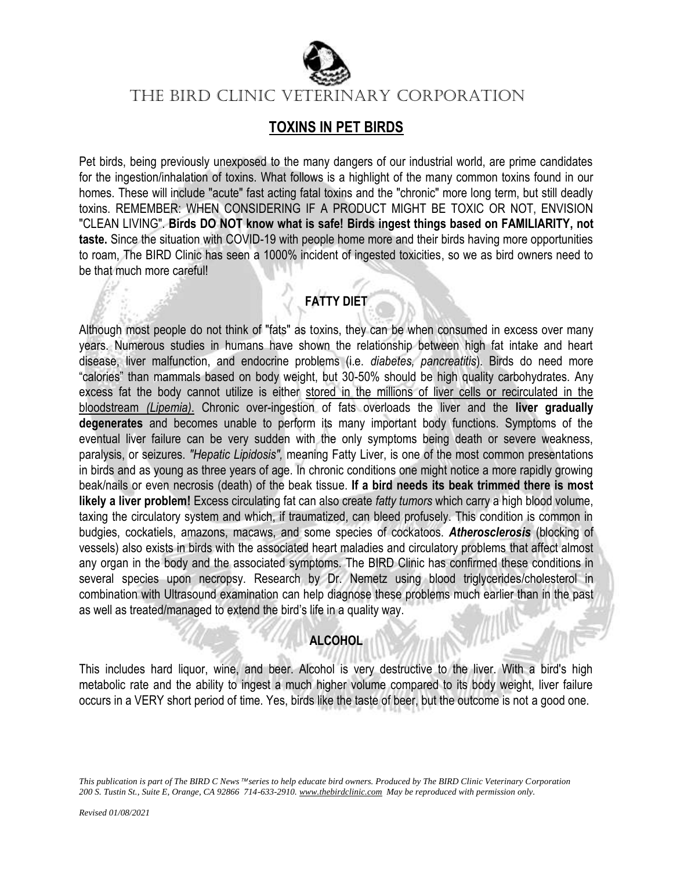

## **TOXINS IN PET BIRDS**

Pet birds, being previously unexposed to the many dangers of our industrial world, are prime candidates for the ingestion/inhalation of toxins. What follows is a highlight of the many common toxins found in our homes. These will include "acute" fast acting fatal toxins and the "chronic" more long term, but still deadly toxins. REMEMBER: WHEN CONSIDERING IF A PRODUCT MIGHT BE TOXIC OR NOT, ENVISION "CLEAN LIVING". **Birds DO NOT know what is safe! Birds ingest things based on FAMILIARITY, not taste.** Since the situation with COVID-19 with people home more and their birds having more opportunities to roam, The BIRD Clinic has seen a 1000% incident of ingested toxicities, so we as bird owners need to be that much more careful!

# **FATTY DIET**

Although most people do not think of "fats" as toxins, they can be when consumed in excess over many years. Numerous studies in humans have shown the relationship between high fat intake and heart disease, liver malfunction, and endocrine problems (i.e. *diabetes, pancreatitis*). Birds do need more "calories" than mammals based on body weight, but 30-50% should be high quality carbohydrates. Any excess fat the body cannot utilize is either stored in the millions of liver cells or recirculated in the bloodstream *(Lipemia)*. Chronic over-ingestion of fats overloads the liver and the **liver gradually degenerates** and becomes unable to perform its many important body functions. Symptoms of the eventual liver failure can be very sudden with the only symptoms being death or severe weakness, paralysis, or seizures. *"Hepatic Lipidosis",* meaning Fatty Liver, is one of the most common presentations in birds and as young as three years of age. In chronic conditions one might notice a more rapidly growing beak/nails or even necrosis (death) of the beak tissue. **If a bird needs its beak trimmed there is most likely a liver problem!** Excess circulating fat can also create *fatty tumors* which carry a high blood volume, taxing the circulatory system and which, if traumatized, can bleed profusely. This condition is common in budgies, cockatiels, amazons, macaws, and some species of cockatoos. *Atherosclerosis* (blocking of vessels) also exists in birds with the associated heart maladies and circulatory problems that affect almost any organ in the body and the associated symptoms. The BIRD Clinic has confirmed these conditions in several species upon necropsy. Research by Dr. Nemetz using blood triglycerides/cholesterol in combination with Ultrasound examination can help diagnose these problems much earlier than in the past as well as treated/managed to extend the bird's life in a quality way.

### **ALCOHOL**

This includes hard liquor, wine, and beer. Alcohol is very destructive to the liver. With a bird's high metabolic rate and the ability to ingest a much higher volume compared to its body weight, liver failure occurs in a VERY short period of time. Yes, birds like the taste of beer, but the outcome is not a good one.

*This publication is part of The BIRD C News™series to help educate bird owners. Produced by The BIRD Clinic Veterinary Corporation 200 S. Tustin St., Suite E, Orange, CA 92866 714-633-2910. www.thebirdclinic.com May be reproduced with permission only.*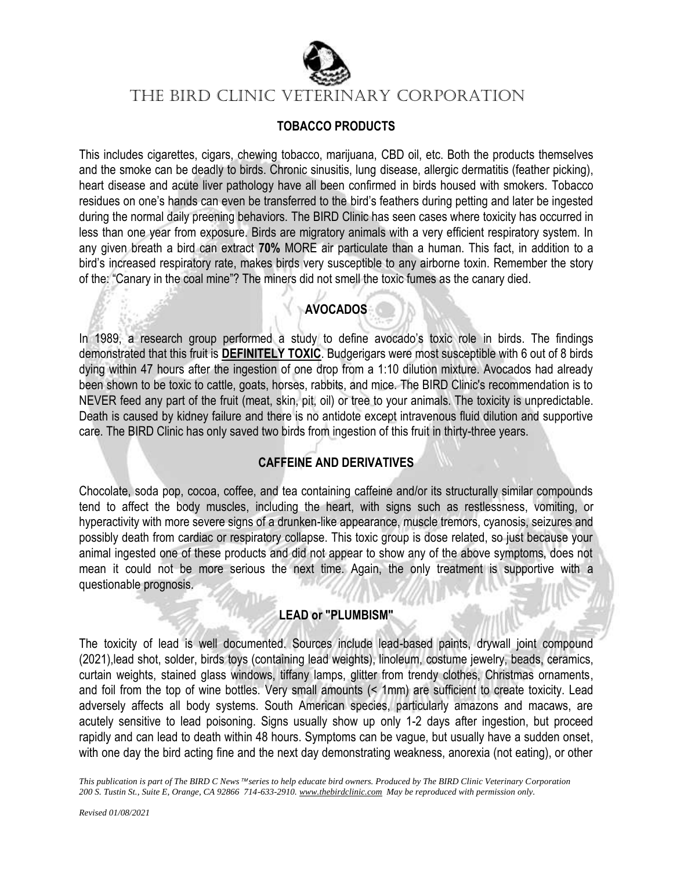

#### **TOBACCO PRODUCTS**

This includes cigarettes, cigars, chewing tobacco, marijuana, CBD oil, etc. Both the products themselves and the smoke can be deadly to birds. Chronic sinusitis, lung disease, allergic dermatitis (feather picking), heart disease and acute liver pathology have all been confirmed in birds housed with smokers. Tobacco residues on one's hands can even be transferred to the bird's feathers during petting and later be ingested during the normal daily preening behaviors. The BIRD Clinic has seen cases where toxicity has occurred in less than one year from exposure. Birds are migratory animals with a very efficient respiratory system. In any given breath a bird can extract **70%** MORE air particulate than a human. This fact, in addition to a bird's increased respiratory rate, makes birds very susceptible to any airborne toxin. Remember the story of the: "Canary in the coal mine"? The miners did not smell the toxic fumes as the canary died.

#### **AVOCADOS**

In 1989, a research group performed a study to define avocado's toxic role in birds. The findings demonstrated that this fruit is **DEFINITELY TOXIC**. Budgerigars were most susceptible with 6 out of 8 birds dying within 47 hours after the ingestion of one drop from a 1:10 dilution mixture. Avocados had already been shown to be toxic to cattle, goats, horses, rabbits, and mice. The BIRD Clinic's recommendation is to NEVER feed any part of the fruit (meat, skin, pit, oil) or tree to your animals. The toxicity is unpredictable. Death is caused by kidney failure and there is no antidote except intravenous fluid dilution and supportive care. The BIRD Clinic has only saved two birds from ingestion of this fruit in thirty-three years.

#### **CAFFEINE AND DERIVATIVES**

Chocolate, soda pop, cocoa, coffee, and tea containing caffeine and/or its structurally similar compounds tend to affect the body muscles, including the heart, with signs such as restlessness, vomiting, or hyperactivity with more severe signs of a drunken-like appearance, muscle tremors, cyanosis, seizures and possibly death from cardiac or respiratory collapse. This toxic group is dose related, so just because your animal ingested one of these products and did not appear to show any of the above symptoms, does not mean it could not be more serious the next time. Again, the only treatment is supportive with a questionable prognosis.

#### **LEAD or "PLUMBISM"**

The toxicity of lead is well documented. Sources include lead-based paints, drywall joint compound (2021),lead shot, solder, birds toys (containing lead weights), linoleum, costume jewelry, beads, ceramics, curtain weights, stained glass windows, tiffany lamps, glitter from trendy clothes, Christmas ornaments, and foil from the top of wine bottles. Very small amounts (< 1mm) are sufficient to create toxicity. Lead adversely affects all body systems. South American species, particularly amazons and macaws, are acutely sensitive to lead poisoning. Signs usually show up only 1-2 days after ingestion, but proceed rapidly and can lead to death within 48 hours. Symptoms can be vague, but usually have a sudden onset, with one day the bird acting fine and the next day demonstrating weakness, anorexia (not eating), or other

*This publication is part of The BIRD C News* <sup>™</sup> series to help educate bird owners. Produced by The BIRD Clinic Veterinary Corporation *200 S. Tustin St., Suite E, Orange, CA 92866 714-633-2910. www.thebirdclinic.com May be reproduced with permission only.*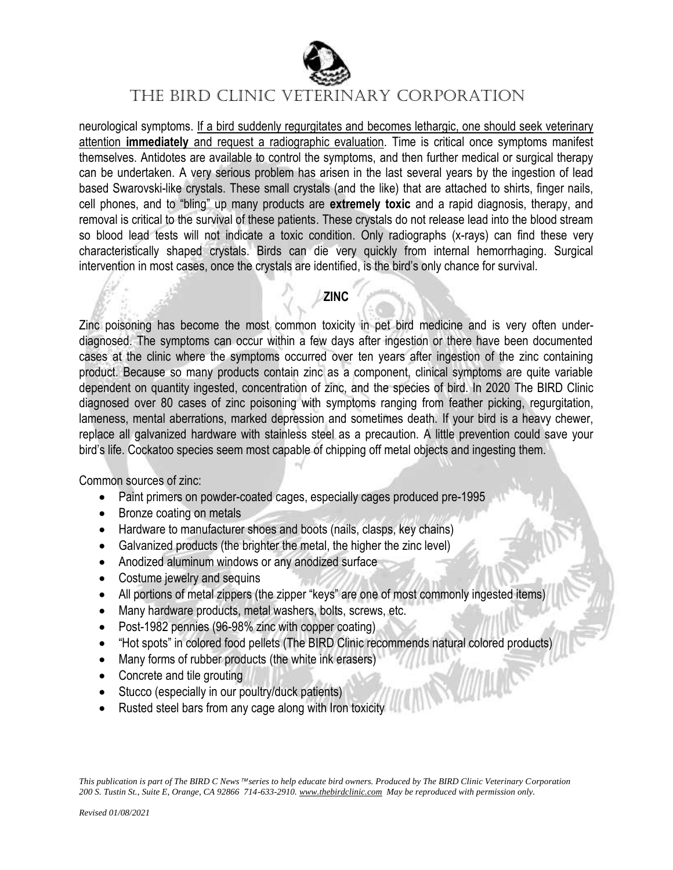

neurological symptoms. If a bird suddenly regurgitates and becomes lethargic, one should seek veterinary attention **immediately** and request a radiographic evaluation. Time is critical once symptoms manifest themselves. Antidotes are available to control the symptoms, and then further medical or surgical therapy can be undertaken. A very serious problem has arisen in the last several years by the ingestion of lead based Swarovski-like crystals. These small crystals (and the like) that are attached to shirts, finger nails, cell phones, and to "bling" up many products are **extremely toxic** and a rapid diagnosis, therapy, and removal is critical to the survival of these patients. These crystals do not release lead into the blood stream so blood lead tests will not indicate a toxic condition. Only radiographs (x-rays) can find these very characteristically shaped crystals. Birds can die very quickly from internal hemorrhaging. Surgical intervention in most cases, once the crystals are identified, is the bird's only chance for survival.

#### **ZINC**

Zinc poisoning has become the most common toxicity in pet bird medicine and is very often underdiagnosed. The symptoms can occur within a few days after ingestion or there have been documented cases at the clinic where the symptoms occurred over ten years after ingestion of the zinc containing product. Because so many products contain zinc as a component, clinical symptoms are quite variable dependent on quantity ingested, concentration of zinc, and the species of bird. In 2020 The BIRD Clinic diagnosed over 80 cases of zinc poisoning with symptoms ranging from feather picking, regurgitation, lameness, mental aberrations, marked depression and sometimes death. If your bird is a heavy chewer, replace all galvanized hardware with stainless steel as a precaution. A little prevention could save your bird's life. Cockatoo species seem most capable of chipping off metal objects and ingesting them.

Common sources of zinc:

- Paint primers on powder-coated cages, especially cages produced pre-1995
- Bronze coating on metals
- Hardware to manufacturer shoes and boots (nails, clasps, key chains)
- Galvanized products (the brighter the metal, the higher the zinc level)
- Anodized aluminum windows or any anodized surface
- Costume jewelry and sequins
- All portions of metal zippers (the zipper "keys" are one of most commonly ingested items)
- Many hardware products, metal washers, bolts, screws, etc.
- Post-1982 pennies (96-98% zinc with copper coating)
- "Hot spots" in colored food pellets (The BIRD Clinic recommends natural colored products)
- Many forms of rubber products (the white ink erasers)
- Concrete and tile grouting
- Stucco (especially in our poultry/duck patients)
- Rusted steel bars from any cage along with Iron toxicity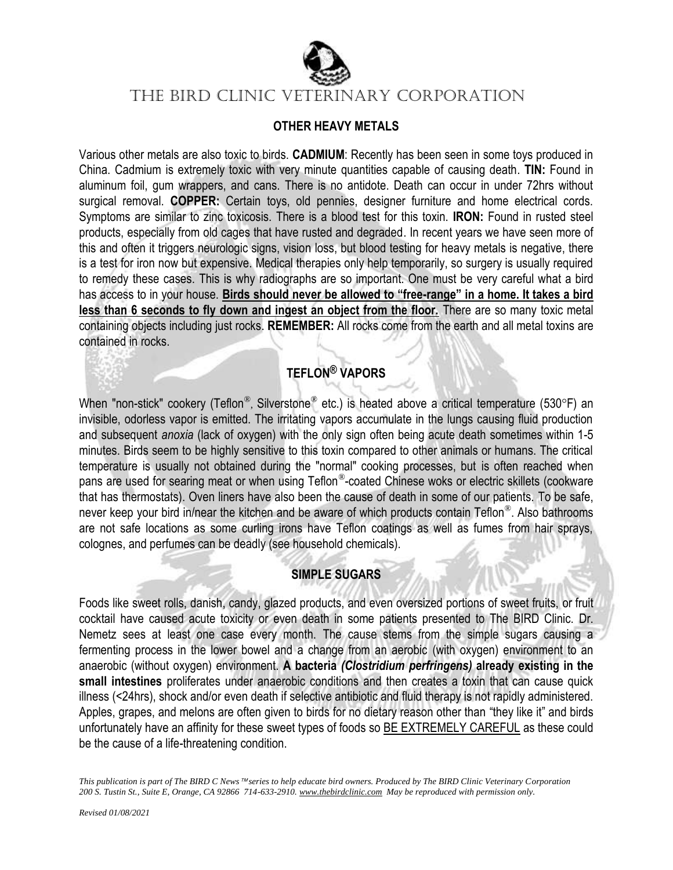

#### **OTHER HEAVY METALS**

Various other metals are also toxic to birds. **CADMIUM**: Recently has been seen in some toys produced in China. Cadmium is extremely toxic with very minute quantities capable of causing death. **TIN:** Found in aluminum foil, gum wrappers, and cans. There is no antidote. Death can occur in under 72hrs without surgical removal. **COPPER:** Certain toys, old pennies, designer furniture and home electrical cords. Symptoms are similar to zinc toxicosis. There is a blood test for this toxin. **IRON:** Found in rusted steel products, especially from old cages that have rusted and degraded. In recent years we have seen more of this and often it triggers neurologic signs, vision loss, but blood testing for heavy metals is negative, there is a test for iron now but expensive. Medical therapies only help temporarily, so surgery is usually required to remedy these cases. This is why radiographs are so important. One must be very careful what a bird has access to in your house. **Birds should never be allowed to "free-range" in a home. It takes a bird less than 6 seconds to fly down and ingest an object from the floor.** There are so many toxic metal containing objects including just rocks. **REMEMBER:** All rocks come from the earth and all metal toxins are contained in rocks.

## **TEFLON® VAPORS**

When "non-stick" cookery (Teflon®, Silverstone® etc.) is heated above a critical temperature (530°F) an invisible, odorless vapor is emitted. The irritating vapors accumulate in the lungs causing fluid production and subsequent *anoxia* (lack of oxygen) with the only sign often being acute death sometimes within 1-5 minutes. Birds seem to be highly sensitive to this toxin compared to other animals or humans. The critical temperature is usually not obtained during the "normal" cooking processes, but is often reached when pans are used for searing meat or when using Teflon®-coated Chinese woks or electric skillets (cookware that has thermostats). Oven liners have also been the cause of death in some of our patients. To be safe, never keep your bird in/near the kitchen and be aware of which products contain Teflon®. Also bathrooms are not safe locations as some curling irons have Teflon coatings as well as fumes from hair sprays, colognes, and perfumes can be deadly (see household chemicals).

### **SIMPLE SUGARS**

Foods like sweet rolls, danish, candy, glazed products, and even oversized portions of sweet fruits, or fruit cocktail have caused acute toxicity or even death in some patients presented to The BIRD Clinic. Dr. Nemetz sees at least one case every month. The cause stems from the simple sugars causing a fermenting process in the lower bowel and a change from an aerobic (with oxygen) environment to an anaerobic (without oxygen) environment. **A bacteria** *(Clostridium perfringens)* **already existing in the small intestines** proliferates under anaerobic conditions and then creates a toxin that can cause quick illness (<24hrs), shock and/or even death if selective antibiotic and fluid therapy is not rapidly administered. Apples, grapes, and melons are often given to birds for no dietary reason other than "they like it" and birds unfortunately have an affinity for these sweet types of foods so BE EXTREMELY CAREFUL as these could be the cause of a life-threatening condition.

*This publication is part of The BIRD C News* <sup>™</sup> series to help educate bird owners. Produced by The BIRD Clinic Veterinary Corporation *200 S. Tustin St., Suite E, Orange, CA 92866 714-633-2910. www.thebirdclinic.com May be reproduced with permission only.*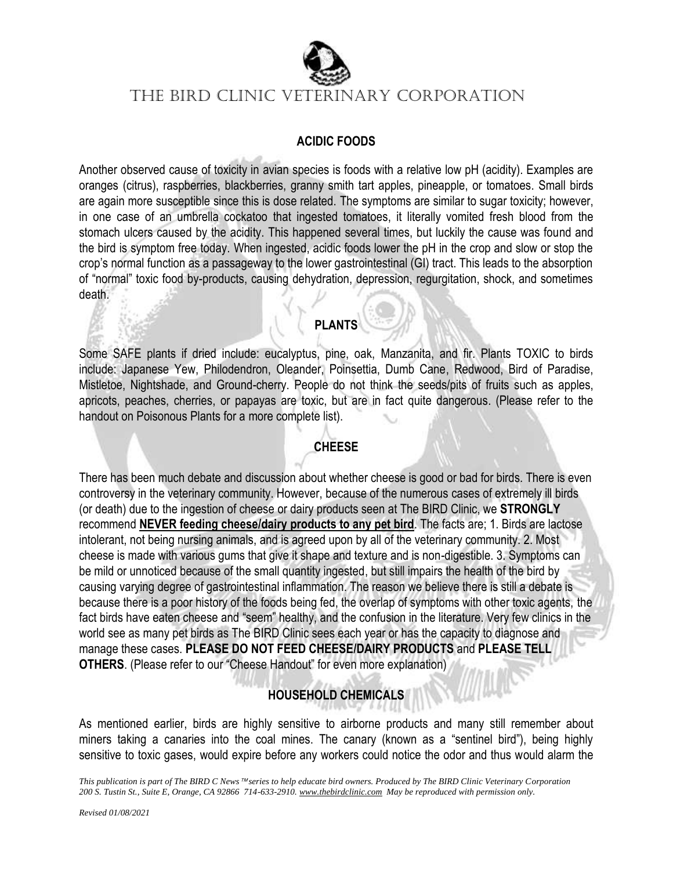

#### **ACIDIC FOODS**

Another observed cause of toxicity in avian species is foods with a relative low pH (acidity). Examples are oranges (citrus), raspberries, blackberries, granny smith tart apples, pineapple, or tomatoes. Small birds are again more susceptible since this is dose related. The symptoms are similar to sugar toxicity; however, in one case of an umbrella cockatoo that ingested tomatoes, it literally vomited fresh blood from the stomach ulcers caused by the acidity. This happened several times, but luckily the cause was found and the bird is symptom free today. When ingested, acidic foods lower the pH in the crop and slow or stop the crop's normal function as a passageway to the lower gastrointestinal (GI) tract. This leads to the absorption of "normal" toxic food by-products, causing dehydration, depression, regurgitation, shock, and sometimes death.

#### **PLANTS**

Some SAFE plants if dried include: eucalyptus, pine, oak, Manzanita, and fir. Plants TOXIC to birds include: Japanese Yew, Philodendron, Oleander, Poinsettia, Dumb Cane, Redwood, Bird of Paradise, Mistletoe, Nightshade, and Ground-cherry. People do not think the seeds/pits of fruits such as apples, apricots, peaches, cherries, or papayas are toxic, but are in fact quite dangerous. (Please refer to the handout on Poisonous Plants for a more complete list).

## **CHEESE**

There has been much debate and discussion about whether cheese is good or bad for birds. There is even controversy in the veterinary community. However, because of the numerous cases of extremely ill birds (or death) due to the ingestion of cheese or dairy products seen at The BIRD Clinic, we **STRONGLY** recommend **NEVER feeding cheese/dairy products to any pet bird**. The facts are; 1. Birds are lactose intolerant, not being nursing animals, and is agreed upon by all of the veterinary community. 2. Most cheese is made with various gums that give it shape and texture and is non-digestible. 3. Symptoms can be mild or unnoticed because of the small quantity ingested, but still impairs the health of the bird by causing varying degree of gastrointestinal inflammation. The reason we believe there is still a debate is because there is a poor history of the foods being fed, the overlap of symptoms with other toxic agents, the fact birds have eaten cheese and "seem" healthy, and the confusion in the literature. Very few clinics in the world see as many pet birds as The BIRD Clinic sees each year or has the capacity to diagnose and manage these cases. **PLEASE DO NOT FEED CHEESE/DAIRY PRODUCTS** and **PLEASE TELL OTHERS**. (Please refer to our "Cheese Handout" for even more explanation)

# **HOUSEHOLD CHEMICALS**

As mentioned earlier, birds are highly sensitive to airborne products and many still remember about miners taking a canaries into the coal mines. The canary (known as a "sentinel bird"), being highly sensitive to toxic gases, would expire before any workers could notice the odor and thus would alarm the

*This publication is part of The BIRD C News* <sup>™</sup> series to help educate bird owners. Produced by The BIRD Clinic Veterinary Corporation *200 S. Tustin St., Suite E, Orange, CA 92866 714-633-2910. www.thebirdclinic.com May be reproduced with permission only.*